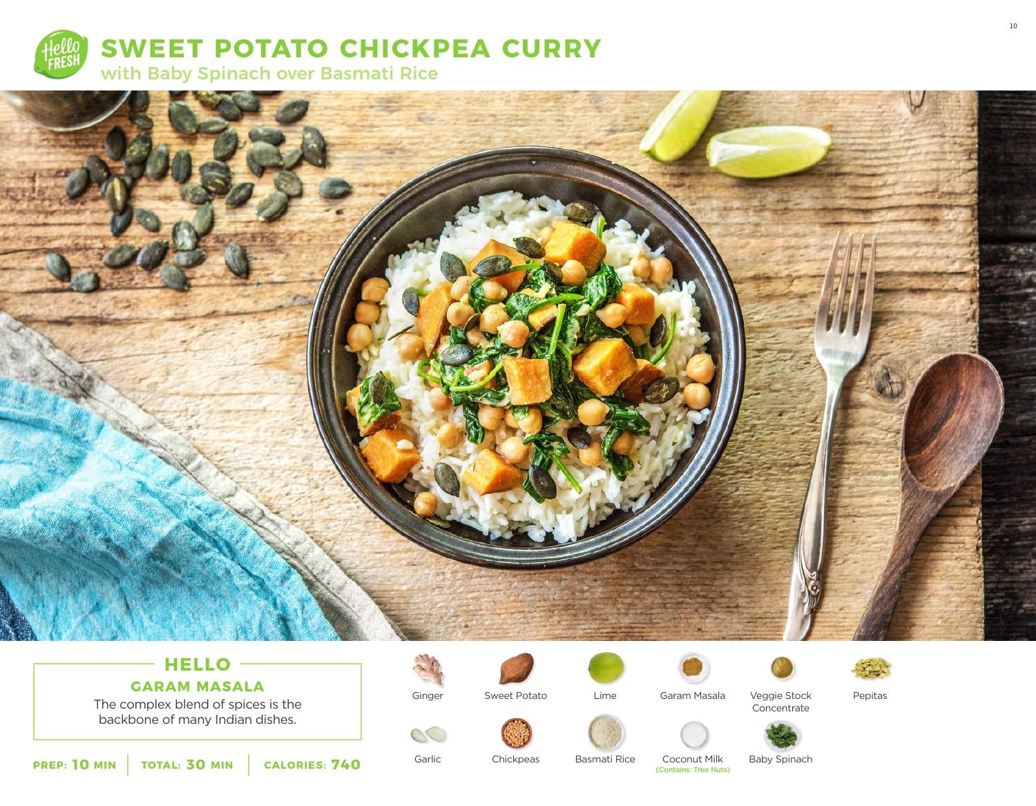



# **HELLO**

The complex blend of spices is the backbone of many Indian dishes. **GARAM MASALA**



Ginger

Garlic

 $\infty$ 

Sweet Potato







Pepitas

10





Veggie Stock





**Chickpeas** 

Basmati Rice

Lime

**Coconut Milk**<br> **(Contains: Tree Nuts)** 

Baby Spinach